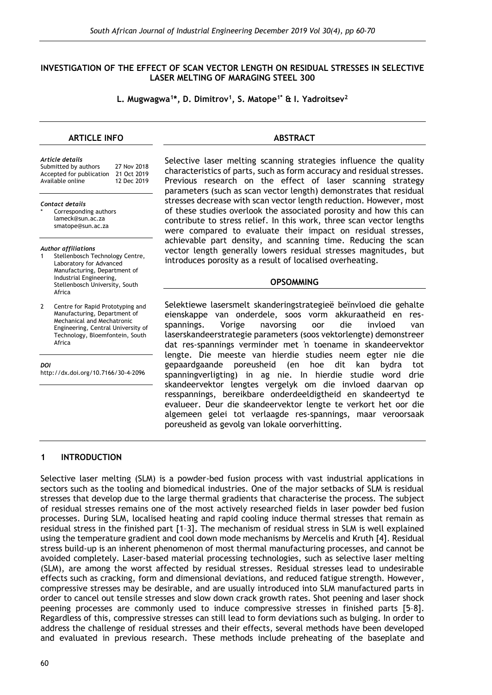## **INVESTIGATION OF THE EFFECT OF SCAN VECTOR LENGTH ON RESIDUAL STRESSES IN SELECTIVE LASER MELTING OF MARAGING STEEL 300**

**L. Mugwagwa<sup>1</sup> \*, D. Dimitrov<sup>1</sup> , S. Matope1\* & I. Yadroitsev<sup>2</sup>**

### **ARTICLE INFO**

#### *Article details*

| Submitted by authors     | 27 Nov 2018 |
|--------------------------|-------------|
| Accepted for publication | 21 Oct 2019 |
| Available online         | 12 Dec 2019 |

*Contact details* Corresponding authors

lameck@sun.ac.za smatope@sun.ac.za

#### *Author affiliations*

- stellenbosch Technology Centre, Laboratory for Advanced Manufacturing, Department of Industrial Engineering, Stellenbosch University, South Africa
- 2 Centre for Rapid Prototyping and Manufacturing, Department of Mechanical and Mechatronic Engineering, Central University of Technology, Bloemfontein, South Africa

*DOI*

http://dx.doi.org/10.7166/30-4-2096

### **ABSTRACT**

Selective laser melting scanning strategies influence the quality characteristics of parts, such as form accuracy and residual stresses. Previous research on the effect of laser scanning strategy parameters (such as scan vector length) demonstrates that residual stresses decrease with scan vector length reduction. However, most of these studies overlook the associated porosity and how this can contribute to stress relief. In this work, three scan vector lengths were compared to evaluate their impact on residual stresses, achievable part density, and scanning time. Reducing the scan vector length generally lowers residual stresses magnitudes, but introduces porosity as a result of localised overheating.

#### **OPSOMMING**

Selektiewe lasersmelt skanderingstrategieë beïnvloed die gehalte eienskappe van onderdele, soos vorm akkuraatheid en resspannings. Vorige navorsing oor die invloed van laserskandeerstrategie parameters (soos vektorlengte) demonstreer dat res-spannings verminder met 'n toename in skandeervektor lengte. Die meeste van hierdie studies neem egter nie die gepaardgaande poreusheid (en hoe dit kan bydra tot spanningverligting) in ag nie. In hierdie studie word drie skandeervektor lengtes vergelyk om die invloed daarvan op resspannings, bereikbare onderdeeldigtheid en skandeertyd te evalueer. Deur die skandeervektor lengte te verkort het oor die algemeen gelei tot verlaagde res-spannings, maar veroorsaak poreusheid as gevolg van lokale oorverhitting.

#### **1 INTRODUCTION**

Selective laser melting (SLM) is a powder-bed fusion process with vast industrial applications in sectors such as the tooling and biomedical industries. One of the major setbacks of SLM is residual stresses that develop due to the large thermal gradients that characterise the process. The subject of residual stresses remains one of the most actively researched fields in laser powder bed fusion processes. During SLM, localised heating and rapid cooling induce thermal stresses that remain as residual stress in the finished part [1–3]. The mechanism of residual stress in SLM is well explained using the temperature gradient and cool down mode mechanisms by Mercelis and Kruth [4]. Residual stress build-up is an inherent phenomenon of most thermal manufacturing processes, and cannot be avoided completely. Laser-based material processing technologies, such as selective laser melting (SLM), are among the worst affected by residual stresses. Residual stresses lead to undesirable effects such as cracking, form and dimensional deviations, and reduced fatigue strength. However, compressive stresses may be desirable, and are usually introduced into SLM manufactured parts in order to cancel out tensile stresses and slow down crack growth rates. Shot peening and laser shock peening processes are commonly used to induce compressive stresses in finished parts [5–8]. Regardless of this, compressive stresses can still lead to form deviations such as bulging. In order to address the challenge of residual stresses and their effects, several methods have been developed and evaluated in previous research. These methods include preheating of the baseplate and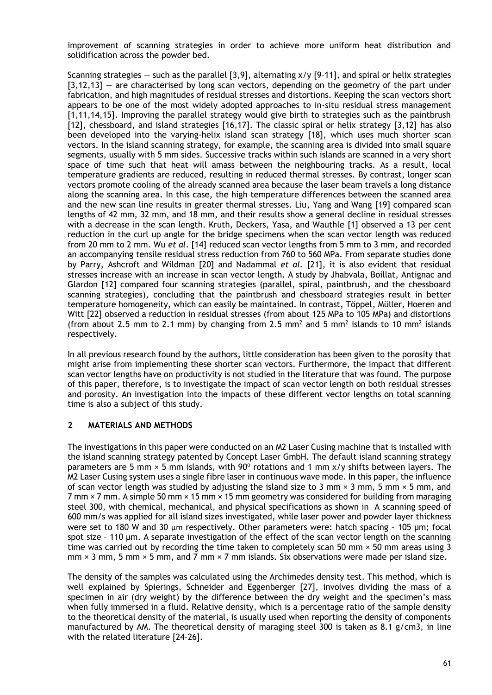improvement of scanning strategies in order to achieve more uniform heat distribution and solidification across the powder bed.

Scanning strategies  $-$  such as the parallel [3,9], alternating  $x/y$  [9-11], and spiral or helix strategies  $[3,12,13]$  – are characterised by long scan vectors, depending on the geometry of the part under fabrication, and high magnitudes of residual stresses and distortions. Keeping the scan vectors short appears to be one of the most widely adopted approaches to in-situ residual stress management [1,11,14,15]. Improving the parallel strategy would give birth to strategies such as the paintbrush [12], chessboard, and island strategies [16,17]. The classic spiral or helix strategy [3,12] has also been developed into the varying-helix island scan strategy [18], which uses much shorter scan vectors. In the island scanning strategy, for example, the scanning area is divided into small square segments, usually with 5 mm sides. Successive tracks within such islands are scanned in a very short space of time such that heat will amass between the neighbouring tracks. As a result, local temperature gradients are reduced, resulting in reduced thermal stresses. By contrast, longer scan vectors promote cooling of the already scanned area because the laser beam travels a long distance along the scanning area. In this case, the high temperature differences between the scanned area and the new scan line results in greater thermal stresses. Liu, Yang and Wang [19] compared scan lengths of 42 mm, 32 mm, and 18 mm, and their results show a general decline in residual stresses with a decrease in the scan length. Kruth, Deckers, Yasa, and Wauthle [1] observed a 13 per cent reduction in the curl up angle for the bridge specimens when the scan vector length was reduced from 20 mm to 2 mm. Wu *et al*. [14] reduced scan vector lengths from 5 mm to 3 mm, and recorded an accompanying tensile residual stress reduction from 760 to 560 MPa. From separate studies done by Parry, Ashcroft and Wildman [20] and Nadammal *et al.* [21], it is also evident that residual stresses increase with an increase in scan vector length. A study by Jhabvala, Boillat, Antignac and Glardon [12] compared four scanning strategies (parallel, spiral, paintbrush, and the chessboard scanning strategies), concluding that the paintbrush and chessboard strategies result in better temperature homogeneity, which can easily be maintained. In contrast, Töppel, Müller, Hoeren and Witt [22] observed a reduction in residual stresses (from about 125 MPa to 105 MPa) and distortions (from about 2.5 mm to 2.1 mm) by changing from 2.5 mm<sup>2</sup> and 5 mm<sup>2</sup> islands to 10 mm<sup>2</sup> islands respectively.

In all previous research found by the authors, little consideration has been given to the porosity that might arise from implementing these shorter scan vectors. Furthermore, the impact that different scan vector lengths have on productivity is not studied in the literature that was found. The purpose of this paper, therefore, is to investigate the impact of scan vector length on both residual stresses and porosity. An investigation into the impacts of these different vector lengths on total scanning time is also a subject of this study.

# **2 MATERIALS AND METHODS**

The investigations in this paper were conducted on an M2 Laser Cusing machine that is installed with the island scanning strategy patented by Concept Laser GmbH. The default island scanning strategy parameters are 5 mm  $\times$  5 mm islands, with 90 $^{\rm o}$  rotations and 1 mm x/y shifts between layers. The M2 Laser Cusing system uses a single fibre laser in continuous wave mode. In this paper, the influence of scan vector length was studied by adjusting the island size to 3 mm  $\times$  3 mm, 5 mm  $\times$  5 mm, and 7 mm × 7 mm. A simple 50 mm × 15 mm × 15 mm geometry was considered for building from maraging steel 300, with chemical, mechanical, and physical specifications as shown in [A scanning speed of](#page-2-0)  [600 mm/s was applied for all island sizes](#page-2-0) investigated, while laser power and powder layer thickness were set to 180 W and 30  $\mu$ m [respectively. Other parameters were: hatch spacing](#page-2-0) - 105  $\mu$ m; focal spot size – 110 µm. [A separate investigation of the effect of the scan vector length on the scanning](#page-2-0)  [time was carried out by recording the](#page-2-0) time taken to completely scan 50 mm  $\times$  50 mm areas using 3  $mm \times 3 mm$ , 5 mm  $\times 5 mm$ , and 7 mm  $\times 7 mm$  islands. Six [observations were made per island size.](#page-2-0)

[The density of the samples was calculated using the Archimedes density test. This method, which is](#page-2-0)  [well explained by Spierings, Schneider and Eggenberger](#page-2-0) [27], involves dividing the mass of a [specimen in air \(dry weight\) by the difference between the dry weight and the](#page-2-0) specimen's mass [when fully immersed in a fluid. Relative density, which is a percentage ratio of the sample density](#page-2-0)  [to the theoretical density of the material, is usually used when reporting the density of components](#page-2-0)  [manufactured by AM. The theoretical density of maraging steel 300 is taken as 8.1 g/cm3,](#page-2-0) in line [with the related literature](#page-2-0) [24–26].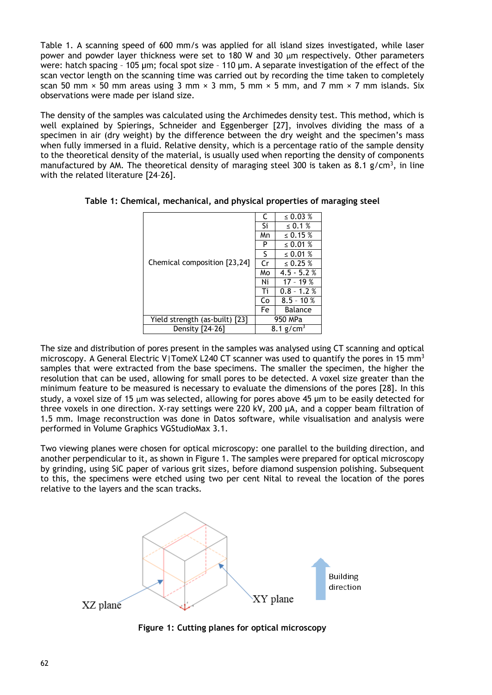<span id="page-2-0"></span>[Table 1.](#page-2-0) A scanning speed of 600 mm/s was applied for all island sizes investigated, while laser power and powder layer thickness were set to 180 W and 30 µm respectively. Other parameters were: hatch spacing – 105 µm; focal spot size – 110 µm. A separate investigation of the effect of the scan vector length on the scanning time was carried out by recording the time taken to completely scan 50 mm  $\times$  50 mm areas using 3 mm  $\times$  3 mm, 5 mm  $\times$  5 mm, and 7 mm  $\times$  7 mm islands. Six observations were made per island size.

The density of the samples was calculated using the Archimedes density test. This method, which is well explained by Spierings, Schneider and Eggenberger [27], involves dividing the mass of a specimen in air (dry weight) by the difference between the dry weight and the specimen's mass when fully immersed in a fluid. Relative density, which is a percentage ratio of the sample density to the theoretical density of the material, is usually used when reporting the density of components manufactured by AM. The theoretical density of maraging steel 300 is taken as 8.1 g/cm<sup>3</sup>, in line with the related literature [24–26].

|                                | C                       | $\leq 0.03 \%$ |  |
|--------------------------------|-------------------------|----------------|--|
| Chemical composition [23,24]   | Si                      | $\leq 0.1 \%$  |  |
|                                | Mn                      | ≤ 0.15 $%$     |  |
|                                | P                       | ≤ 0.01 $%$     |  |
|                                | S                       | ≤ 0.01 $%$     |  |
|                                | Cr                      | $\leq 0.25 \%$ |  |
|                                | Mo                      | $4.5 - 5.2 %$  |  |
|                                | Ni                      | $17 - 19%$     |  |
|                                | Ti                      | $0.8 - 1.2 %$  |  |
|                                | Co                      | $8.5 - 10%$    |  |
|                                | Fe                      | <b>Balance</b> |  |
| Yield strength (as-built) [23] | 950 MPa                 |                |  |
| Density [24-26]                | $8.1$ g/cm <sup>3</sup> |                |  |

**Table 1: Chemical, mechanical, and physical properties of maraging steel** 

The size and distribution of pores present in the samples was analysed using CT scanning and optical microscopy. A General Electric V|TomeX L240 CT scanner was used to quantify the pores in 15 mm<sup>3</sup> samples that were extracted from the base specimens. The smaller the specimen, the higher the resolution that can be used, allowing for small pores to be detected. A voxel size greater than the minimum feature to be measured is necessary to evaluate the dimensions of the pores [28]. In this study, a voxel size of 15 µm was selected, allowing for pores above 45 µm to be easily detected for three voxels in one direction. X-ray settings were 220 kV, 200 μA, and a copper beam filtration of 1.5 mm. Image reconstruction was done in Datos software, while visualisation and analysis were performed in Volume Graphics VGStudioMax 3.1.

Two viewing planes were chosen for optical microscopy: one parallel to the building direction, and another perpendicular to it, as shown in [Figure 1.](#page-2-1) The samples were prepared for optical microscopy by grinding, using SiC paper of various grit sizes, before diamond suspension polishing. Subsequent to this, the specimens were etched using two per cent Nital to reveal the location of the pores relative to the layers and the scan tracks.



<span id="page-2-1"></span>**Figure 1: Cutting planes for optical microscopy**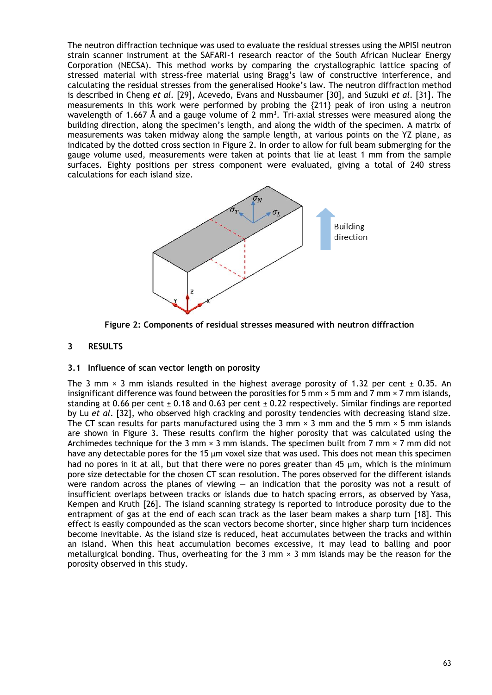The neutron diffraction technique was used to evaluate the residual stresses using the MPISI neutron strain scanner instrument at the SAFARI-1 research reactor of the South African Nuclear Energy Corporation (NECSA). This method works by comparing the crystallographic lattice spacing of stressed material with stress-free material using Bragg's law of constructive interference, and calculating the residual stresses from the generalised Hooke's law. The neutron diffraction method is described in Cheng *et al.* [29], Acevedo, Evans and Nussbaumer [30], and Suzuki *et al*. [31]. The measurements in this work were performed by probing the {211} peak of iron using a neutron wavelength of 1.667 Å and a gauge volume of 2 mm<sup>3</sup>. Tri-axial stresses were measured along the building direction, along the specimen's length, and along the width of the specimen. A matrix of measurements was taken midway along the sample length, at various points on the YZ plane, as indicated by the dotted cross section in [Figure 2.](#page-3-0) In order to allow for full beam submerging for the gauge volume used, measurements were taken at points that lie at least 1 mm from the sample surfaces. Eighty positions per stress component were evaluated, giving a total of 240 stress calculations for each island size.



**Figure 2: Components of residual stresses measured with neutron diffraction** 

# <span id="page-3-0"></span>**3 RESULTS**

# **3.1 Influence of scan vector length on porosity**

The 3 mm  $\times$  3 mm islands resulted in the highest average porosity of 1.32 per cent  $\pm$  0.35. An insignificant difference was found between the porosities for 5 mm  $\times$  5 mm and 7 mm  $\times$  7 mm islands, standing at 0.66 per cent  $\pm$  0.18 and 0.63 per cent  $\pm$  0.22 respectively. Similar findings are reported by Lu *et al*. [32], who observed high cracking and porosity tendencies with decreasing island size. The CT scan results for parts manufactured using the 3 mm  $\times$  3 mm and the 5 mm  $\times$  5 mm islands are shown in [Figure 3.](#page-4-0) These results confirm the higher porosity that was calculated using the Archimedes technique for the 3 mm  $\times$  3 mm islands. The specimen built from 7 mm  $\times$  7 mm did not have any detectable pores for the 15  $\mu$ m voxel size that was used. This does not mean this specimen had no pores in it at all, but that there were no pores greater than 45  $\mu$ m, which is the minimum pore size detectable for the chosen CT scan resolution. The pores observed for the different islands were random across the planes of viewing  $-$  an indication that the porosity was not a result of insufficient overlaps between tracks or islands due to hatch spacing errors, as observed by Yasa, Kempen and Kruth [26]. The island scanning strategy is reported to introduce porosity due to the entrapment of gas at the end of each scan track as the laser beam makes a sharp turn [18]. This effect is easily compounded as the scan vectors become shorter, since higher sharp turn incidences become inevitable. As the island size is reduced, heat accumulates between the tracks and within an island. When this heat accumulation becomes excessive, it may lead to balling and poor metallurgical bonding. Thus, overheating for the 3 mm  $\times$  3 mm islands may be the reason for the porosity observed in this study.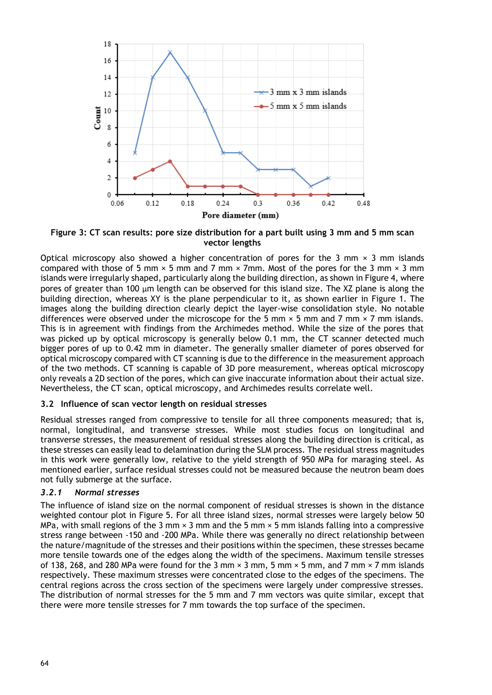

<span id="page-4-0"></span>**Figure 3: CT scan results: pore size distribution for a part built using 3 mm and 5 mm scan vector lengths**

Optical microscopy also showed a higher concentration of pores for the 3 mm  $\times$  3 mm islands compared with those of 5 mm  $\times$  5 mm and 7 mm  $\times$  7mm. Most of the pores for the 3 mm  $\times$  3 mm islands were irregularly shaped, particularly along the building direction, as shown in [Figure 4,](#page-5-0) where pores of greater than 100 µm length can be observed for this island size. The XZ plane is along the building direction, whereas XY is the plane perpendicular to it, as shown earlier in [Figure 1.](#page-2-1) The images along the building direction clearly depict the layer-wise consolidation style. No notable differences were observed under the microscope for the 5 mm  $\times$  5 mm and 7 mm  $\times$  7 mm islands. This is in agreement with findings from the Archimedes method. While the size of the pores that was picked up by optical microscopy is generally below 0.1 mm, the CT scanner detected much bigger pores of up to 0.42 mm in diameter. The generally smaller diameter of pores observed for optical microscopy compared with CT scanning is due to the difference in the measurement approach of the two methods. CT scanning is capable of 3D pore measurement, whereas optical microscopy only reveals a 2D section of the pores, which can give inaccurate information about their actual size. Nevertheless, the CT scan, optical microscopy, and Archimedes results correlate well.

# **3.2 Influence of scan vector length on residual stresses**

Residual stresses ranged from compressive to tensile for all three components measured; that is, normal, longitudinal, and transverse stresses. While most studies focus on longitudinal and transverse stresses, the measurement of residual stresses along the building direction is critical, as these stresses can easily lead to delamination during the SLM process. The residual stress magnitudes in this work were generally low, relative to the yield strength of 950 MPa for maraging steel. As mentioned earlier, surface residual stresses could not be measured because the neutron beam does not fully submerge at the surface.

# *3.2.1 Normal stresses*

The influence of island size on the normal component of residual stresses is shown in the distance weighted contour plot in [Figure 5.](#page-6-0) For all three island sizes, normal stresses were largely below 50 MPa, with small regions of the 3 mm  $\times$  3 mm and the 5 mm  $\times$  5 mm islands falling into a compressive stress range between -150 and -200 MPa. While there was generally no direct relationship between the nature/magnitude of the stresses and their positions within the specimen, these stresses became more tensile towards one of the edges along the width of the specimens. Maximum tensile stresses of 138, 268, and 280 MPa were found for the 3 mm  $\times$  3 mm, 5 mm  $\times$  5 mm, and 7 mm  $\times$  7 mm islands respectively. These maximum stresses were concentrated close to the edges of the specimens. The central regions across the cross section of the specimens were largely under compressive stresses. The distribution of normal stresses for the 5 mm and 7 mm vectors was quite similar, except that there were more tensile stresses for 7 mm towards the top surface of the specimen.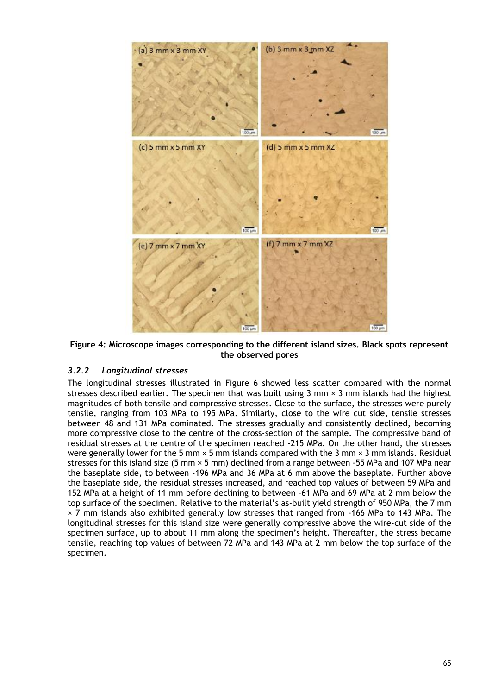

<span id="page-5-0"></span>**Figure 4: Microscope images corresponding to the different island sizes. Black spots represent the observed pores**

# *3.2.2 Longitudinal stresses*

The longitudinal stresses illustrated in [Figure 6](#page-6-1) showed less scatter compared with the normal stresses described earlier. The specimen that was built using  $3 \text{ mm} \times 3 \text{ mm}$  islands had the highest magnitudes of both tensile and compressive stresses. Close to the surface, the stresses were purely tensile, ranging from 103 MPa to 195 MPa. Similarly, close to the wire cut side, tensile stresses between 48 and 131 MPa dominated. The stresses gradually and consistently declined, becoming more compressive close to the centre of the cross-section of the sample. The compressive band of residual stresses at the centre of the specimen reached -215 MPa. On the other hand, the stresses were generally lower for the 5 mm  $\times$  5 mm islands compared with the 3 mm  $\times$  3 mm islands. Residual stresses for this island size (5 mm  $\times$  5 mm) declined from a range between -55 MPa and 107 MPa near the baseplate side, to between -196 MPa and 36 MPa at 6 mm above the baseplate. Further above the baseplate side, the residual stresses increased, and reached top values of between 59 MPa and 152 MPa at a height of 11 mm before declining to between -61 MPa and 69 MPa at 2 mm below the top surface of the specimen. Relative to the material's as-built yield strength of 950 MPa, the 7 mm × 7 mm islands also exhibited generally low stresses that ranged from -166 MPa to 143 MPa. The longitudinal stresses for this island size were generally compressive above the wire-cut side of the specimen surface, up to about 11 mm along the specimen's height. Thereafter, the stress became tensile, reaching top values of between 72 MPa and 143 MPa at 2 mm below the top surface of the specimen.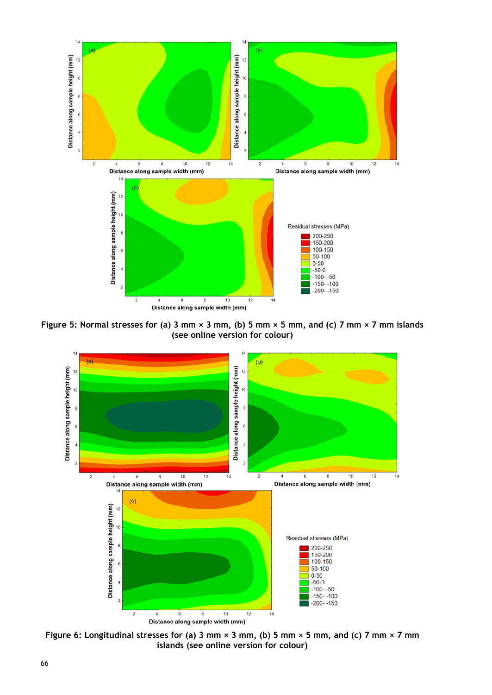

<span id="page-6-0"></span>**Figure 5: Normal stresses for (a) 3 mm × 3 mm, (b) 5 mm × 5 mm, and (c) 7 mm × 7 mm islands (see online version for colour)**



<span id="page-6-1"></span>**Figure 6: Longitudinal stresses for (a) 3 mm × 3 mm, (b) 5 mm × 5 mm, and (c) 7 mm × 7 mm islands (see online version for colour)**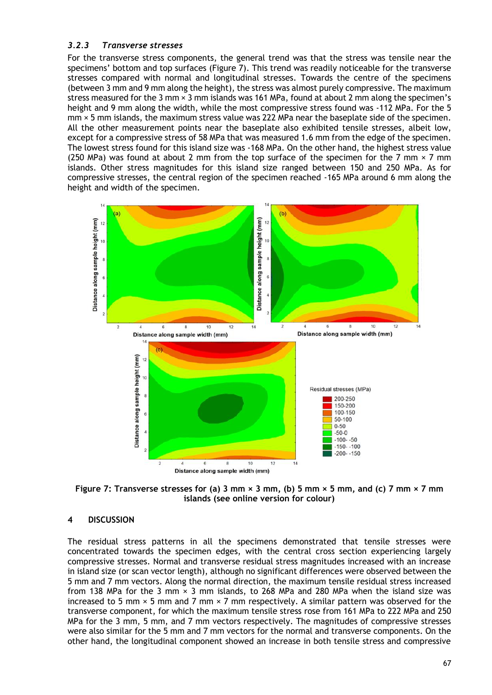# *3.2.3 Transverse stresses*

For the transverse stress components, the general trend was that the stress was tensile near the specimens' bottom and top surfaces [\(Figure 7\)](#page-7-0). This trend was readily noticeable for the transverse stresses compared with normal and longitudinal stresses. Towards the centre of the specimens (between 3 mm and 9 mm along the height), the stress was almost purely compressive. The maximum stress measured for the 3 mm  $\times$  3 mm islands was 161 MPa, found at about 2 mm along the specimen's height and 9 mm along the width, while the most compressive stress found was -112 MPa. For the 5 mm × 5 mm islands, the maximum stress value was 222 MPa near the baseplate side of the specimen. All the other measurement points near the baseplate also exhibited tensile stresses, albeit low, except for a compressive stress of 58 MPa that was measured 1.6 mm from the edge of the specimen. The lowest stress found for this island size was -168 MPa. On the other hand, the highest stress value (250 MPa) was found at about 2 mm from the top surface of the specimen for the 7 mm  $\times$  7 mm islands. Other stress magnitudes for this island size ranged between 150 and 250 MPa. As for compressive stresses, the central region of the specimen reached -165 MPa around 6 mm along the height and width of the specimen.



<span id="page-7-0"></span>**Figure 7: Transverse stresses for (a) 3 mm × 3 mm, (b) 5 mm × 5 mm, and (c) 7 mm × 7 mm islands (see online version for colour)**

# **4 DISCUSSION**

The residual stress patterns in all the specimens demonstrated that tensile stresses were concentrated towards the specimen edges, with the central cross section experiencing largely compressive stresses. Normal and transverse residual stress magnitudes increased with an increase in island size (or scan vector length), although no significant differences were observed between the 5 mm and 7 mm vectors. Along the normal direction, the maximum tensile residual stress increased from 138 MPa for the 3 mm × 3 mm islands, to 268 MPa and 280 MPa when the island size was increased to 5 mm  $\times$  5 mm and 7 mm  $\times$  7 mm respectively. A similar pattern was observed for the transverse component, for which the maximum tensile stress rose from 161 MPa to 222 MPa and 250 MPa for the 3 mm, 5 mm, and 7 mm vectors respectively. The magnitudes of compressive stresses were also similar for the 5 mm and 7 mm vectors for the normal and transverse components. On the other hand, the longitudinal component showed an increase in both tensile stress and compressive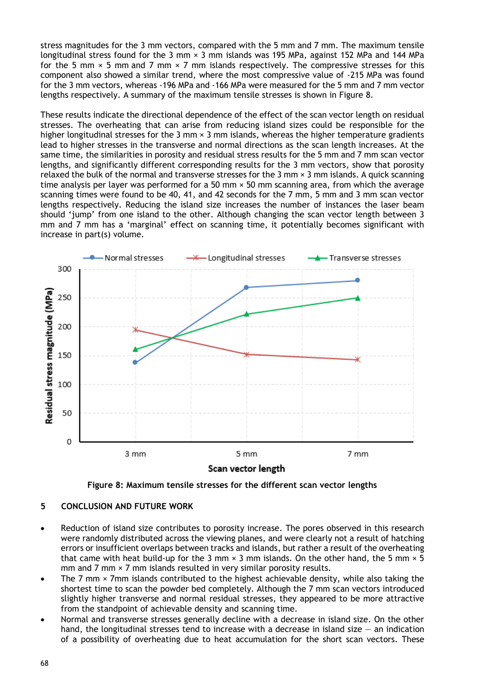stress magnitudes for the 3 mm vectors, compared with the 5 mm and 7 mm. The maximum tensile longitudinal stress found for the 3 mm  $\times$  3 mm islands was 195 MPa, against 152 MPa and 144 MPa for the 5 mm  $\times$  5 mm and 7 mm  $\times$  7 mm islands respectively. The compressive stresses for this component also showed a similar trend, where the most compressive value of -215 MPa was found for the 3 mm vectors, whereas -196 MPa and -166 MPa were measured for the 5 mm and 7 mm vector lengths respectively. A summary of the maximum tensile stresses is shown in [Figure 8.](#page-8-0)

These results indicate the directional dependence of the effect of the scan vector length on residual stresses. The overheating that can arise from reducing island sizes could be responsible for the higher longitudinal stresses for the 3 mm  $\times$  3 mm islands, whereas the higher temperature gradients lead to higher stresses in the transverse and normal directions as the scan length increases. At the same time, the similarities in porosity and residual stress results for the 5 mm and 7 mm scan vector lengths, and significantly different corresponding results for the 3 mm vectors, show that porosity relaxed the bulk of the normal and transverse stresses for the 3 mm × 3 mm islands. A quick scanning time analysis per layer was performed for a 50 mm  $\times$  50 mm scanning area, from which the average scanning times were found to be 40, 41, and 42 seconds for the 7 mm, 5 mm and 3 mm scan vector lengths respectively. Reducing the island size increases the number of instances the laser beam should 'jump' from one island to the other. Although changing the scan vector length between 3 mm and 7 mm has a 'marginal' effect on scanning time, it potentially becomes significant with increase in part(s) volume.





# <span id="page-8-0"></span>**5 CONCLUSION AND FUTURE WORK**

- Reduction of island size contributes to porosity increase. The pores observed in this research were randomly distributed across the viewing planes, and were clearly not a result of hatching errors or insufficient overlaps between tracks and islands, but rather a result of the overheating that came with heat build-up for the 3 mm  $\times$  3 mm islands. On the other hand, the 5 mm  $\times$  5 mm and 7 mm  $\times$  7 mm islands resulted in very similar porosity results.
- The 7 mm  $\times$  7mm islands contributed to the highest achievable density, while also taking the shortest time to scan the powder bed completely. Although the 7 mm scan vectors introduced slightly higher transverse and normal residual stresses, they appeared to be more attractive from the standpoint of achievable density and scanning time.
- Normal and transverse stresses generally decline with a decrease in island size. On the other hand, the longitudinal stresses tend to increase with a decrease in island size  $-$  an indication of a possibility of overheating due to heat accumulation for the short scan vectors. These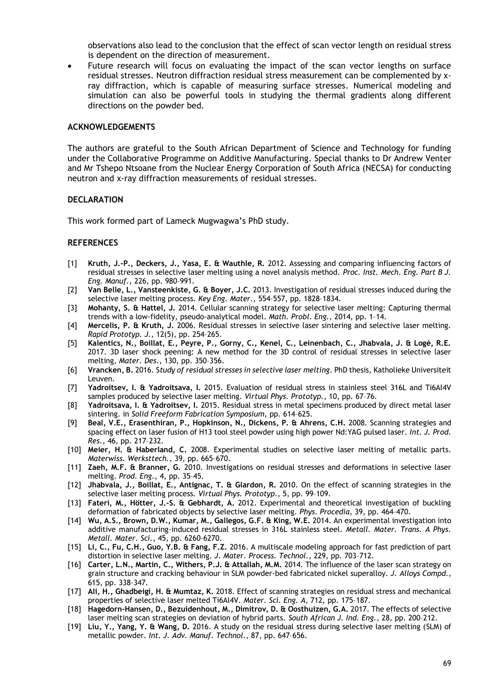observations also lead to the conclusion that the effect of scan vector length on residual stress is dependent on the direction of measurement.

 Future research will focus on evaluating the impact of the scan vector lengths on surface residual stresses. Neutron diffraction residual stress measurement can be complemented by xray diffraction, which is capable of measuring surface stresses. Numerical modeling and simulation can also be powerful tools in studying the thermal gradients along different directions on the powder bed.

### **ACKNOWLEDGEMENTS**

The authors are grateful to the South African Department of Science and Technology for funding under the Collaborative Programme on Additive Manufacturing. Special thanks to Dr Andrew Venter and Mr Tshepo Ntsoane from the Nuclear Energy Corporation of South Africa (NECSA) for conducting neutron and x-ray diffraction measurements of residual stresses.

## **DECLARATION**

This work formed part of Lameck Mugwagwa's PhD study.

#### **REFERENCES**

- [1] **Kruth, J.-P., Deckers, J., Yasa, E. & Wauthle, R.** 2012. Assessing and comparing influencing factors of residual stresses in selective laser melting using a novel analysis method. *Proc. Inst. Mech. Eng. Part B J. Eng. Manuf.*, 226, pp. 980–991.
- [2] **Van Belle, L., Vansteenkiste, G. & Boyer, J.C.** 2013. Investigation of residual stresses induced during the selective laser melting process. *Key Eng. Mater.*, 554–557, pp. 1828–1834.
- [3] **Mohanty, S. & Hattel, J.** 2014. Cellular scanning strategy for selective laser melting: Capturing thermal trends with a low-fidelity, pseudo-analytical model. *Math. Probl. Eng.*, 2014, pp. 1–14.
- [4] **Mercelis, P. & Kruth, J.** 2006. Residual stresses in selective laser sintering and selective laser melting. *Rapid Prototyp. J.*, 12(5), pp. 254–265.
- [5] **Kalentics, N., Boillat, E., Peyre, P., Gorny, C., Kenel, C., Leinenbach, C., Jhabvala, J. & Logé, R.E.**  2017. 3D laser shock peening: A new method for the 3D control of residual stresses in selective laser melting, *Mater. Des*., 130, pp. 350–356.
- [6] **Vrancken, B.** 2016. S*tudy of residual stresses in selective laser melting*. PhD thesis, Katholieke Universiteit Leuven.
- [7] **Yadroitsev, I. & Yadroitsava, I.** 2015. Evaluation of residual stress in stainless steel 316L and Ti6Al4V samples produced by selective laser melting. *Virtual Phys. Prototyp*., 10, pp. 67–76.
- [8] **Yadroitsava, I. & Yadroitsev, I.** 2015. Residual stress in metal specimens produced by direct metal laser sintering. in *Solid Freeform Fabrication Symposium,* pp. 614–625.
- [9] **Beal, V.E., Erasenthiran, P., Hopkinson, N., Dickens, P. & Ahrens, C.H.** 2008. Scanning strategies and spacing effect on laser fusion of H13 tool steel powder using high power Nd:YAG pulsed laser. *Int. J. Prod. Res.*, 46, pp. 217–232.
- [10] **Meier, H. & Haberland, C.** 2008. Experimental studies on selective laser melting of metallic parts. *Materwiss. Werksttech.*, 39, pp. 665–670.
- [11] **Zaeh, M.F. & Branner, G.** 2010. Investigations on residual stresses and deformations in selective laser melting. *Prod. Eng.*, 4, pp. 35–45.
- [12] **Jhabvala, J., Boillat, E., Antignac, T. & Glardon, R.** 2010. On the effect of scanning strategies in the selective laser melting process. *Virtual Phys. Prototyp.*, 5, pp. 99–109.
- [13] **Fateri, M., Hötter, J.-S. & Gebhardt, A.** 2012. Experimental and theoretical investigation of buckling deformation of fabricated objects by selective laser melting. *Phys. Procedia*, 39, pp. 464–470.
- [14] **Wu, A.S., Brown, D.W., Kumar, M., Gallegos, G.F. & King, W.E.** 2014. An experimental investigation into additive manufacturing-induced residual stresses in 316L stainless steel. *Metall. Mater. Trans. A Phys. Metall. Mater. Sci.*, 45, pp. 6260–6270.
- [15] **Li, C., Fu, C.H., Guo, Y.B. & Fang, F.Z.** 2016. A multiscale modeling approach for fast prediction of part distortion in selective laser melting. *J. Mater. Process. Technol.*, 229, pp. 703–712.
- [16] **Carter, L.N., Martin, C., Withers, P.J. & Attallah, M.M.** 2014. The influence of the laser scan strategy on grain structure and cracking behaviour in SLM powder-bed fabricated nickel superalloy. *J. Alloys Compd.*, 615, pp. 338–347.
- [17] **Ali, H., Ghadbeigi, H. & Mumtaz, K.** 2018. Effect of scanning strategies on residual stress and mechanical properties of selective laser melted Ti6Al4V. *Mater. Sci. Eng. A*, 712, pp. 175–187.
- [18] **Hagedorn-Hansen, D., Bezuidenhout, M., Dimitrov, D. & Oosthuizen, G.A.** 2017. The effects of selective laser melting scan strategies on deviation of hybrid parts. *South African J. Ind. Eng.*, 28, pp. 200–212.
- [19] **Liu, Y., Yang, Y. & Wang, D.** 2016. A study on the residual stress during selective laser melting (SLM) of metallic powder. *Int. J. Adv. Manuf. Technol.*, 87, pp. 647–656.